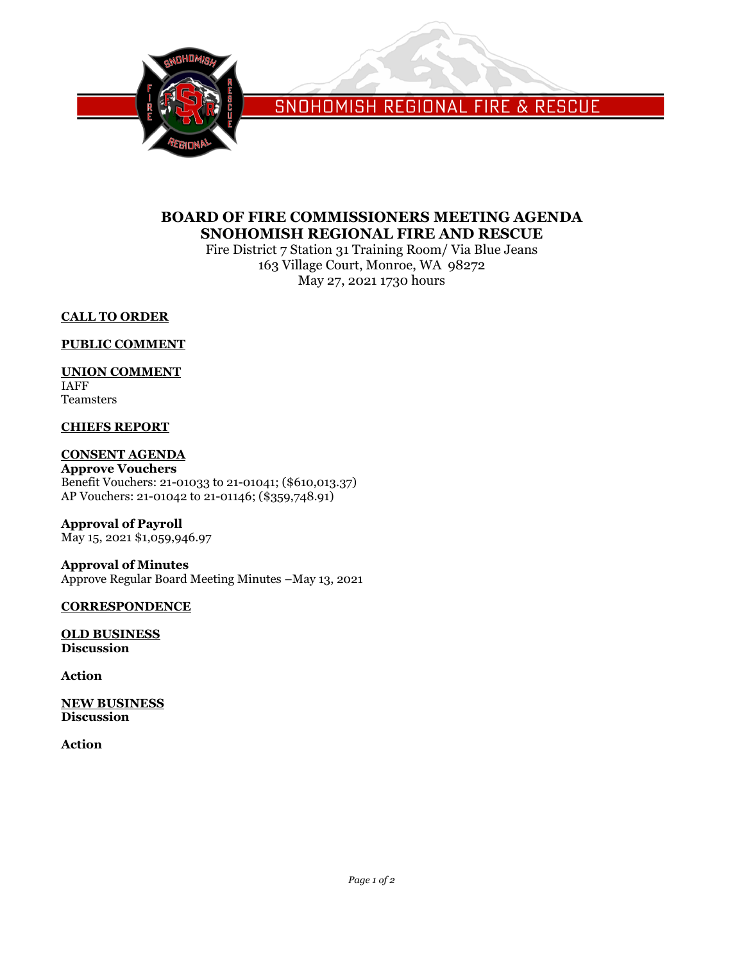

SNOHOMISH REGIONAL FIRE & RESCUE

# **BOARD OF FIRE COMMISSIONERS MEETING AGENDA SNOHOMISH REGIONAL FIRE AND RESCUE**

Fire District 7 Station 31 Training Room/ Via Blue Jeans 163 Village Court, Monroe, WA 98272 May 27, 2021 1730 hours

# **CALL TO ORDER**

### **PUBLIC COMMENT**

### **UNION COMMENT**

IAFF Teamsters

# **CHIEFS REPORT**

# **CONSENT AGENDA**

**Approve Vouchers** Benefit Vouchers: 21-01033 to 21-01041; (\$610,013.37) AP Vouchers: 21-01042 to 21-01146; (\$359,748.91)

**Approval of Payroll** May 15, 2021 \$1,059,946.97

**Approval of Minutes** Approve Regular Board Meeting Minutes –May 13, 2021

### **CORRESPONDENCE**

**OLD BUSINESS Discussion**

**Action**

**NEW BUSINESS Discussion**

**Action**